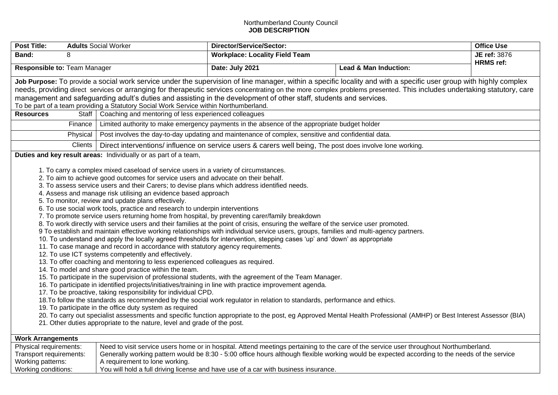## Northumberland County Council **JOB DESCRIPTION**

| <b>Post Title:</b>                                                                                                                                                                                                                                                                                                                                                                                                                                                                                                                                                                                                                                                                                                                                                                                                                                                                                                                                                                                                                                                                                                                                                                                                                                                                                                                                                                                                                                                                                                                                                                                                                                                                                                                                                                                                                                                                                                                                                                                                                                                                                                                                                                                                                                                                                                                                                                                                                                                                                                                                                                                                                                                                                                                                                                                     | <b>Adults Social Worker</b>    | Director/Service/Sector:                                                            |                                                                                                                                                                                                                                                                                         | <b>Office Use</b> |  |
|--------------------------------------------------------------------------------------------------------------------------------------------------------------------------------------------------------------------------------------------------------------------------------------------------------------------------------------------------------------------------------------------------------------------------------------------------------------------------------------------------------------------------------------------------------------------------------------------------------------------------------------------------------------------------------------------------------------------------------------------------------------------------------------------------------------------------------------------------------------------------------------------------------------------------------------------------------------------------------------------------------------------------------------------------------------------------------------------------------------------------------------------------------------------------------------------------------------------------------------------------------------------------------------------------------------------------------------------------------------------------------------------------------------------------------------------------------------------------------------------------------------------------------------------------------------------------------------------------------------------------------------------------------------------------------------------------------------------------------------------------------------------------------------------------------------------------------------------------------------------------------------------------------------------------------------------------------------------------------------------------------------------------------------------------------------------------------------------------------------------------------------------------------------------------------------------------------------------------------------------------------------------------------------------------------------------------------------------------------------------------------------------------------------------------------------------------------------------------------------------------------------------------------------------------------------------------------------------------------------------------------------------------------------------------------------------------------------------------------------------------------------------------------------------------------|--------------------------------|-------------------------------------------------------------------------------------|-----------------------------------------------------------------------------------------------------------------------------------------------------------------------------------------------------------------------------------------------------------------------------------------|-------------------|--|
| Band:<br>8                                                                                                                                                                                                                                                                                                                                                                                                                                                                                                                                                                                                                                                                                                                                                                                                                                                                                                                                                                                                                                                                                                                                                                                                                                                                                                                                                                                                                                                                                                                                                                                                                                                                                                                                                                                                                                                                                                                                                                                                                                                                                                                                                                                                                                                                                                                                                                                                                                                                                                                                                                                                                                                                                                                                                                                             |                                | <b>Workplace: Locality Field Team</b>                                               |                                                                                                                                                                                                                                                                                         | JE ref: 3876      |  |
| Responsible to: Team Manager                                                                                                                                                                                                                                                                                                                                                                                                                                                                                                                                                                                                                                                                                                                                                                                                                                                                                                                                                                                                                                                                                                                                                                                                                                                                                                                                                                                                                                                                                                                                                                                                                                                                                                                                                                                                                                                                                                                                                                                                                                                                                                                                                                                                                                                                                                                                                                                                                                                                                                                                                                                                                                                                                                                                                                           |                                | Date: July 2021                                                                     | <b>Lead &amp; Man Induction:</b>                                                                                                                                                                                                                                                        | <b>HRMS</b> ref:  |  |
| Job Purpose: To provide a social work service under the supervision of line manager, within a specific locality and with a specific user group with highly complex<br>needs, providing direct services or arranging for therapeutic services concentrating on the more complex problems presented. This includes undertaking statutory, care<br>management and safeguarding adult's duties and assisting in the development of other staff, students and services.<br>To be part of a team providing a Statutory Social Work Service within Northumberland.<br><b>Resources</b><br>Coaching and mentoring of less experienced colleagues<br>Staff  <br>Limited authority to make emergency payments in the absence of the appropriate budget holder<br>Finance<br>Post involves the day-to-day updating and maintenance of complex, sensitive and confidential data.<br>Physical<br><b>Clients</b><br>Direct interventions/ influence on service users & carers well being, The post does involve lone working.<br>Duties and key result areas: Individually or as part of a team,<br>1. To carry a complex mixed caseload of service users in a variety of circumstances.<br>2. To aim to achieve good outcomes for service users and advocate on their behalf.<br>3. To assess service users and their Carers; to devise plans which address identified needs.<br>4. Assess and manage risk utilising an evidence based approach<br>5. To monitor, review and update plans effectively.<br>6. To use social work tools, practice and research to underpin interventions<br>7. To promote service users returning home from hospital, by preventing carer/family breakdown<br>8. To work directly with service users and their families at the point of crisis, ensuring the welfare of the service user promoted.<br>9 To establish and maintain effective working relationships with individual service users, groups, families and multi-agency partners.<br>10. To understand and apply the locally agreed thresholds for intervention, stepping cases 'up' and 'down' as appropriate<br>11. To case manage and record in accordance with statutory agency requirements.<br>12. To use ICT systems competently and effectively.<br>13. To offer coaching and mentoring to less experienced colleagues as required.<br>14. To model and share good practice within the team.<br>15. To participate in the supervision of professional students, with the agreement of the Team Manager.<br>16. To participate in identified projects/initiatives/training in line with practice improvement agenda.<br>17. To be proactive, taking responsibility for individual CPD.<br>18. To follow the standards as recommended by the social work regulator in relation to standards, performance and ethics. |                                |                                                                                     |                                                                                                                                                                                                                                                                                         |                   |  |
| 19. To participate in the office duty system as required<br>20. To carry out specialist assessments and specific function appropriate to the post, eg Approved Mental Health Professional (AMHP) or Best Interest Assessor (BIA)<br>21. Other duties appropriate to the nature, level and grade of the post.                                                                                                                                                                                                                                                                                                                                                                                                                                                                                                                                                                                                                                                                                                                                                                                                                                                                                                                                                                                                                                                                                                                                                                                                                                                                                                                                                                                                                                                                                                                                                                                                                                                                                                                                                                                                                                                                                                                                                                                                                                                                                                                                                                                                                                                                                                                                                                                                                                                                                           |                                |                                                                                     |                                                                                                                                                                                                                                                                                         |                   |  |
|                                                                                                                                                                                                                                                                                                                                                                                                                                                                                                                                                                                                                                                                                                                                                                                                                                                                                                                                                                                                                                                                                                                                                                                                                                                                                                                                                                                                                                                                                                                                                                                                                                                                                                                                                                                                                                                                                                                                                                                                                                                                                                                                                                                                                                                                                                                                                                                                                                                                                                                                                                                                                                                                                                                                                                                                        |                                |                                                                                     |                                                                                                                                                                                                                                                                                         |                   |  |
| <b>Work Arrangements</b>                                                                                                                                                                                                                                                                                                                                                                                                                                                                                                                                                                                                                                                                                                                                                                                                                                                                                                                                                                                                                                                                                                                                                                                                                                                                                                                                                                                                                                                                                                                                                                                                                                                                                                                                                                                                                                                                                                                                                                                                                                                                                                                                                                                                                                                                                                                                                                                                                                                                                                                                                                                                                                                                                                                                                                               |                                |                                                                                     |                                                                                                                                                                                                                                                                                         |                   |  |
| Physical requirements:<br>Transport requirements:<br>Working patterns:<br>Working conditions:                                                                                                                                                                                                                                                                                                                                                                                                                                                                                                                                                                                                                                                                                                                                                                                                                                                                                                                                                                                                                                                                                                                                                                                                                                                                                                                                                                                                                                                                                                                                                                                                                                                                                                                                                                                                                                                                                                                                                                                                                                                                                                                                                                                                                                                                                                                                                                                                                                                                                                                                                                                                                                                                                                          | A requirement to lone working. | You will hold a full driving license and have use of a car with business insurance. | Need to visit service users home or in hospital. Attend meetings pertaining to the care of the service user throughout Northumberland.<br>Generally working pattern would be 8:30 - 5:00 office hours although flexible working would be expected according to the needs of the service |                   |  |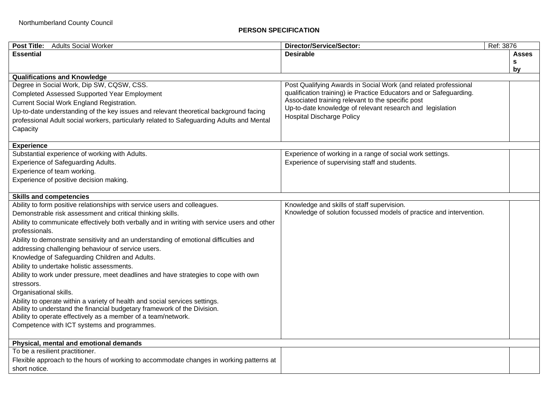## **PERSON SPECIFICATION**

| <b>Post Title:</b><br><b>Adults Social Worker</b>                                                                                                       | Director/Service/Sector:                                                                                                | Ref: 3876 |  |  |
|---------------------------------------------------------------------------------------------------------------------------------------------------------|-------------------------------------------------------------------------------------------------------------------------|-----------|--|--|
| <b>Essential</b>                                                                                                                                        | <b>Desirable</b>                                                                                                        | Asses     |  |  |
|                                                                                                                                                         |                                                                                                                         | s         |  |  |
|                                                                                                                                                         |                                                                                                                         | by        |  |  |
| <b>Qualifications and Knowledge</b>                                                                                                                     |                                                                                                                         |           |  |  |
| Degree in Social Work, Dip SW, CQSW, CSS.                                                                                                               | Post Qualifying Awards in Social Work (and related professional                                                         |           |  |  |
| <b>Completed Assessed Supported Year Employment</b>                                                                                                     | qualification training) ie Practice Educators and or Safeguarding.<br>Associated training relevant to the specific post |           |  |  |
| Current Social Work England Registration.                                                                                                               | Up-to-date knowledge of relevant research and legislation                                                               |           |  |  |
| Up-to-date understanding of the key issues and relevant theoretical background facing                                                                   | <b>Hospital Discharge Policy</b>                                                                                        |           |  |  |
| professional Adult social workers, particularly related to Safeguarding Adults and Mental                                                               |                                                                                                                         |           |  |  |
| Capacity                                                                                                                                                |                                                                                                                         |           |  |  |
|                                                                                                                                                         |                                                                                                                         |           |  |  |
| <b>Experience</b>                                                                                                                                       |                                                                                                                         |           |  |  |
| Substantial experience of working with Adults.                                                                                                          | Experience of working in a range of social work settings.                                                               |           |  |  |
| Experience of Safeguarding Adults.                                                                                                                      | Experience of supervising staff and students.                                                                           |           |  |  |
| Experience of team working.                                                                                                                             |                                                                                                                         |           |  |  |
| Experience of positive decision making.                                                                                                                 |                                                                                                                         |           |  |  |
| <b>Skills and competencies</b>                                                                                                                          |                                                                                                                         |           |  |  |
| Ability to form positive relationships with service users and colleagues.                                                                               | Knowledge and skills of staff supervision.                                                                              |           |  |  |
| Demonstrable risk assessment and critical thinking skills.                                                                                              | Knowledge of solution focussed models of practice and intervention.                                                     |           |  |  |
| Ability to communicate effectively both verbally and in writing with service users and other                                                            |                                                                                                                         |           |  |  |
| professionals.                                                                                                                                          |                                                                                                                         |           |  |  |
| Ability to demonstrate sensitivity and an understanding of emotional difficulties and                                                                   |                                                                                                                         |           |  |  |
| addressing challenging behaviour of service users.                                                                                                      |                                                                                                                         |           |  |  |
|                                                                                                                                                         |                                                                                                                         |           |  |  |
| Knowledge of Safeguarding Children and Adults.<br>Ability to undertake holistic assessments.                                                            |                                                                                                                         |           |  |  |
|                                                                                                                                                         |                                                                                                                         |           |  |  |
| Ability to work under pressure, meet deadlines and have strategies to cope with own                                                                     |                                                                                                                         |           |  |  |
| stressors.                                                                                                                                              |                                                                                                                         |           |  |  |
| Organisational skills.                                                                                                                                  |                                                                                                                         |           |  |  |
| Ability to operate within a variety of health and social services settings.<br>Ability to understand the financial budgetary framework of the Division. |                                                                                                                         |           |  |  |
| Ability to operate effectively as a member of a team/network.                                                                                           |                                                                                                                         |           |  |  |
| Competence with ICT systems and programmes.                                                                                                             |                                                                                                                         |           |  |  |
|                                                                                                                                                         |                                                                                                                         |           |  |  |
| Physical, mental and emotional demands                                                                                                                  |                                                                                                                         |           |  |  |
| To be a resilient practitioner.                                                                                                                         |                                                                                                                         |           |  |  |
| Flexible approach to the hours of working to accommodate changes in working patterns at                                                                 |                                                                                                                         |           |  |  |
| short notice.                                                                                                                                           |                                                                                                                         |           |  |  |
|                                                                                                                                                         |                                                                                                                         |           |  |  |